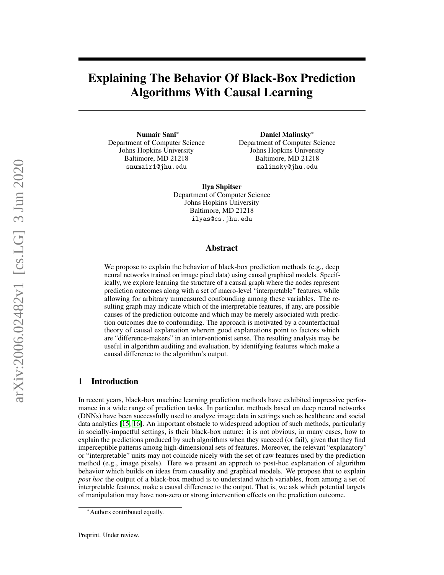# Explaining The Behavior Of Black-Box Prediction Algorithms With Causal Learning

Numair Sani<sup>∗</sup> Department of Computer Science Johns Hopkins University Baltimore, MD 21218 snumair1@jhu.edu

Daniel Malinsky<sup>∗</sup> Department of Computer Science Johns Hopkins University Baltimore, MD 21218 malinsky@jhu.edu

Ilya Shpitser Department of Computer Science Johns Hopkins University Baltimore, MD 21218 ilyas@cs.jhu.edu

### Abstract

We propose to explain the behavior of black-box prediction methods (e.g., deep neural networks trained on image pixel data) using causal graphical models. Specifically, we explore learning the structure of a causal graph where the nodes represent prediction outcomes along with a set of macro-level "interpretable" features, while allowing for arbitrary unmeasured confounding among these variables. The resulting graph may indicate which of the interpretable features, if any, are possible causes of the prediction outcome and which may be merely associated with prediction outcomes due to confounding. The approach is motivated by a counterfactual theory of causal explanation wherein good explanations point to factors which are "difference-makers" in an interventionist sense. The resulting analysis may be useful in algorithm auditing and evaluation, by identifying features which make a causal difference to the algorithm's output.

# 1 Introduction

In recent years, black-box machine learning prediction methods have exhibited impressive performance in a wide range of prediction tasks. In particular, methods based on deep neural networks (DNNs) have been successfully used to analyze image data in settings such as healthcare and social data analytics [\[15,](#page-8-0) [16\]](#page-8-1). An important obstacle to widespread adoption of such methods, particularly in socially-impactful settings, is their black-box nature: it is not obvious, in many cases, how to explain the predictions produced by such algorithms when they succeed (or fail), given that they find imperceptible patterns among high-dimensional sets of features. Moreover, the relevant "explanatory" or "interpretable" units may not coincide nicely with the set of raw features used by the prediction method (e.g., image pixels). Here we present an approch to post-hoc explanation of algorithm behavior which builds on ideas from causality and graphical models. We propose that to explain *post hoc* the output of a black-box method is to understand which variables, from among a set of interpretable features, make a causal difference to the output. That is, we ask which potential targets of manipulation may have non-zero or strong intervention effects on the prediction outcome.

<sup>∗</sup>Authors contributed equally.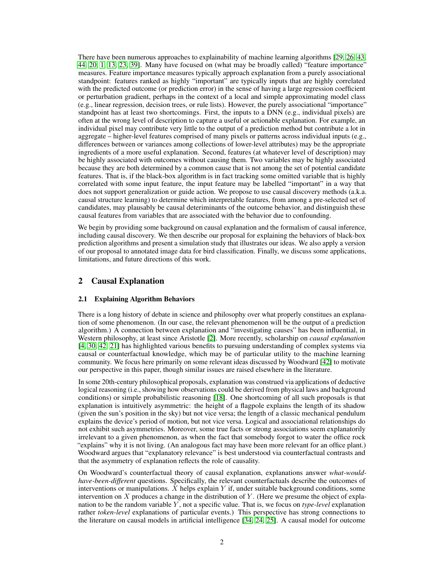There have been numerous approaches to explainability of machine learning algorithms [\[29,](#page-9-0) [26,](#page-9-1) [43,](#page-9-2) [44,](#page-9-3) [20,](#page-9-4) [1,](#page-8-2) [13,](#page-8-3) [23,](#page-9-5) [39\]](#page-9-6). Many have focused on (what may be broadly called) "feature importance" measures. Feature importance measures typically approach explanation from a purely associational standpoint: features ranked as highly "important" are typically inputs that are highly correlated with the predicted outcome (or prediction error) in the sense of having a large regression coefficient or perturbation gradient, perhaps in the context of a local and simple approximating model class (e.g., linear regression, decision trees, or rule lists). However, the purely associational "importance" standpoint has at least two shortcomings. First, the inputs to a DNN (e.g., individual pixels) are often at the wrong level of description to capture a useful or actionable explanation. For example, an individual pixel may contribute very little to the output of a prediction method but contribute a lot in aggregate – higher-level features comprised of many pixels or patterns across individual inputs (e.g., differences between or variances among collections of lower-level attributes) may be the appropriate ingredients of a more useful explanation. Second, features (at whatever level of description) may be highly associated with outcomes without causing them. Two variables may be highly associated because they are both determined by a common cause that is not among the set of potential candidate features. That is, if the black-box algorithm is in fact tracking some omitted variable that is highly correlated with some input feature, the input feature may be labelled "important" in a way that does not support generalization or guide action. We propose to use causal discovery methods (a.k.a. causal structure learning) to determine which interpretable features, from among a pre-selected set of candidates, may plausably be causal deteriminants of the outcome behavior, and distinguish these causal features from variables that are associated with the behavior due to confounding.

We begin by providing some background on causal explanation and the formalism of causal inference, including causal discovery. We then describe our proposal for explaining the behaviors of black-box prediction algorithms and present a simulation study that illustrates our ideas. We also apply a version of our proposal to annotated image data for bird classification. Finally, we discuss some applications, limitations, and future directions of this work.

# 2 Causal Explanation

### 2.1 Explaining Algorithm Behaviors

There is a long history of debate in science and philosophy over what properly constitues an explanation of some phenomenon. (In our case, the relevant phenomenon will be the output of a prediction algorithm.) A connection between explanation and "investigating causes" has been influential, in Western philosophy, at least since Aristotle [\[2\]](#page-8-4). More recently, scholarship on *causal explanation* [\[4,](#page-8-5) [30,](#page-9-7) [42,](#page-9-8) [21\]](#page-9-9) has highlighted various benefits to pursuing understanding of complex systems via causal or counterfactual knowledge, which may be of particular utility to the machine learning community. We focus here primarily on some relevant ideas discussed by Woodward [\[42\]](#page-9-8) to motivate our perspective in this paper, though similar issues are raised elsewhere in the literature.

In some 20th-century philosophical proposals, explanation was construed via applications of deductive logical reasoning (i.e., showing how observations could be derived from physical laws and background conditions) or simple probabilistic reasoning [\[18\]](#page-8-6). One shortcoming of all such proposals is that explanation is intuitively asymmetric: the height of a flagpole explains the length of its shadow (given the sun's position in the sky) but not vice versa; the length of a classic mechanical pendulum explains the device's period of motion, but not vice versa. Logical and associational relationships do not exhibit such asymmetries. Moreover, some true facts or strong associations seem explanatorily irrelevant to a given phenomenon, as when the fact that somebody forgot to water the office rock "explains" why it is not living. (An analogous fact may have been more relevant for an office plant.) Woodward argues that "explanatory relevance" is best understood via counterfactual contrasts and that the asymmetry of explanation reflects the role of causality.

On Woodward's counterfactual theory of causal explanation, explanations answer *what-wouldhave-been-different* questions. Specifically, the relevant counterfactuals describe the outcomes of interventions or manipulations.  $X$  helps explain  $Y$  if, under suitable background conditions, some intervention on X produces a change in the distribution of Y. (Here we presume the object of explanation to be the random variable Y , not a specific value. That is, we focus on *type-level* explanation rather *token-level* explanations of particular events.) This perspective has strong connections to the literature on causal models in artificial intelligence [\[34,](#page-9-10) [24,](#page-9-11) [25\]](#page-9-12). A causal model for outcome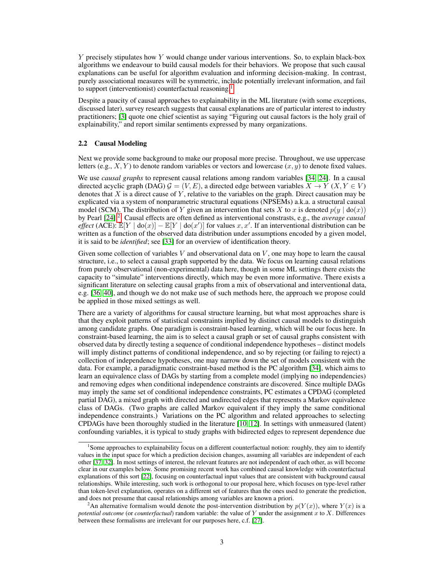$Y$  precisely stipulates how  $Y$  would change under various interventions. So, to explain black-box algorithms we endeavour to build causal models for their behaviors. We propose that such causal explanations can be useful for algorithm evaluation and informing decision-making. In contrast, purely associational measures will be symmetric, include potentially irrelevant information, and fail to support (interventionist) counterfactual reasoning.<sup>[1](#page-2-0)</sup>

Despite a paucity of causal approaches to explainability in the ML literature (with some exceptions, discussed later), survey research suggests that causal explanations are of particular interest to industry practitioners; [\[3\]](#page-8-7) quote one chief scientist as saying "Figuring out causal factors is the holy grail of explainability," and report similar sentiments expressed by many organizations.

#### 2.2 Causal Modeling

Next we provide some background to make our proposal more precise. Throughout, we use uppercase letters (e.g.,  $X, Y$ ) to denote random variables or vectors and lowercase  $(x, y)$  to denote fixed values.

We use *causal graphs* to represent causal relations among random variables [\[34,](#page-9-10) [24\]](#page-9-11). In a causal directed acyclic graph (DAG)  $G = (V, E)$ , a directed edge between variables  $X \to Y(X, Y \in V)$ denotes that  $X$  is a direct cause of  $Y$ , relative to the variables on the graph. Direct causation may be explicated via a system of nonparametric structural equations (NPSEMs) a.k.a. a structural causal model (SCM). The distribution of Y given an intervention that sets X to x is denoted  $p(y | \text{do}(x))$ by Pearl [\[24\]](#page-9-11).<sup>[2](#page-2-1)</sup>. Causal effects are often defined as interventional constrasts, e.g., the *average causal effect* (ACE):  $\mathbb{E}[Y \mid \text{do}(x)] - \mathbb{E}[Y \mid \text{do}(x')]$  for values x, x'. If an interventional distribution can be written as a function of the observed data distribution under assumptions encoded by a given model, it is said to be *identified*; see [\[33\]](#page-9-13) for an overview of identification theory.

Given some collection of variables  $V$  and observational data on  $V$ , one may hope to learn the causal structure, i.e., to select a causal graph supported by the data. We focus on learning causal relations from purely observational (non-experimental) data here, though in some ML settings there exists the capacity to "simulate" interventions directly, which may be even more informative. There exists a significant literature on selecting causal graphs from a mix of observational and interventional data, e.g. [\[36,](#page-9-14) [40\]](#page-9-15), and though we do not make use of such methods here, the approach we propose could be applied in those mixed settings as well.

There are a variety of algorithms for causal structure learning, but what most approaches share is that they exploit patterns of statistical constraints implied by distinct causal models to distinguish among candidate graphs. One paradigm is constraint-based learning, which will be our focus here. In constraint-based learning, the aim is to select a causal graph or set of causal graphs consistent with observed data by directly testing a sequence of conditional independence hypotheses – distinct models will imply distinct patterns of conditional independence, and so by rejecting (or failing to reject) a collection of independence hypotheses, one may narrow down the set of models consistent with the data. For example, a paradigmatic constraint-based method is the PC algorithm [\[34\]](#page-9-10), which aims to learn an equivalence class of DAGs by starting from a complete model (implying no independencies) and removing edges when conditional independence constraints are discovered. Since multiple DAGs may imply the same set of conditional independence constraints, PC estimates a CPDAG (completed partial DAG), a mixed graph with directed and undirected edges that represents a Markov equivalence class of DAGs. (Two graphs are called Markov equivalent if they imply the same conditional independence constraints.) Variations on the PC algorithm and related approaches to selecting CPDAGs have been thoroughly studied in the literature [\[10,](#page-8-8) [12\]](#page-8-9). In settings with unmeasured (latent) confounding variables, it is typical to study graphs with bidirected edges to represent dependence due

<span id="page-2-0"></span><sup>&</sup>lt;sup>1</sup>Some approaches to explainability focus on a different counterfactual notion: roughly, they aim to identify values in the input space for which a prediction decision changes, assuming all variables are independent of each other [\[37,](#page-9-16) [32\]](#page-9-17). In most settings of interest, the relevant features are not independent of each other, as will become clear in our examples below. Some promising recent work has combined causal knowledge with counterfactual explanations of this sort [\[22\]](#page-9-18), focusing on counterfactual input values that are consistent with background causal relationships. While interesting, such work is orthogonal to our proposal here, which focuses on type-level rather than token-level explanation, operates on a different set of features than the ones used to generate the prediction, and does not presume that causal relationships among variables are known a priori.

<span id="page-2-1"></span><sup>&</sup>lt;sup>2</sup>An alternative formalism would denote the post-intervention distribution by  $p(Y(x))$ , where  $Y(x)$  is a *potential outcome* (or *counterfactual*) random variable: the value of Y under the assignment x to X. Differences between these formalisms are irrelevant for our purposes here, c.f. [\[27\]](#page-9-19).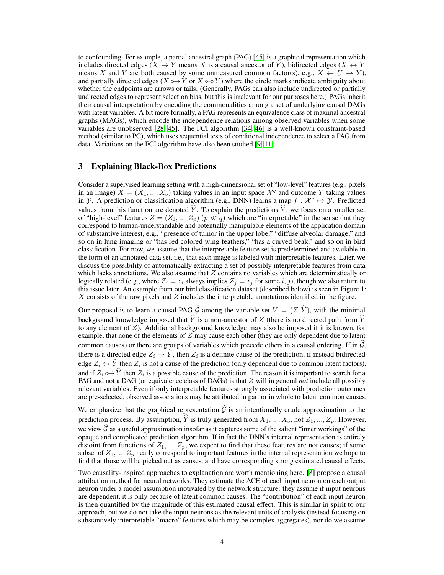to confounding. For example, a partial ancestral graph (PAG) [\[45\]](#page-10-0) is a graphical representation which includes directed edges ( $X \to Y$  means X is a causal ancestor of Y), bidirected edges ( $X \leftrightarrow Y$ means X and Y are both caused by some unmeasured common factor(s), e.g.,  $X \leftarrow U \rightarrow Y$ ), and partially directed edges ( $X \nightharpoonup Y$  or  $X \nightharpoonup \neg Y$ ) where the circle marks indicate ambiguity about whether the endpoints are arrows or tails. (Generally, PAGs can also include undirected or partially undirected edges to represent selection bias, but this is irrelevant for our purposes here.) PAGs inherit their causal interpretation by encoding the commonalities among a set of underlying causal DAGs with latent variables. A bit more formally, a PAG represents an equivalence class of maximal ancestral graphs (MAGs), which encode the independence relations among observed variables when some variables are unobserved [\[28,](#page-9-20) [45\]](#page-10-0). The FCI algorithm [\[34,](#page-9-10) [46\]](#page-10-1) is a well-known constraint-based method (similar to PC), which uses sequential tests of conditional independence to select a PAG from data. Variations on the FCI algorithm have also been studied [\[9,](#page-8-10) [11\]](#page-8-11).

### 3 Explaining Black-Box Predictions

Consider a supervised learning setting with a high-dimensional set of "low-level" features (e.g., pixels in an image)  $X = (X_1, ..., X_q)$  taking values in an input space  $\mathcal{X}^q$  and outcome Y taking values in *Y*. A prediction or classification algorithm (e.g., DNN) learns a map  $f : \mathcal{X}^q \mapsto \mathcal{Y}$ . Predicted values from this function are denoted  $\dot{Y}$ . To explain the predictions  $\dot{Y}$ , we focus on a smaller set of "high-level" features  $Z = (Z_1, ..., Z_p)$   $(p \ll q)$  which are "interpretable" in the sense that they correspond to human-understandable and potentially manipulable elements of the application domain of substantive interest, e.g., "presence of tumor in the upper lobe," "diffuse alveolar damage," and so on in lung imaging or "has red colored wing feathers," "has a curved beak," and so on in bird classification. For now, we assume that the interpretable feature set is predetermined and available in the form of an annotated data set, i.e., that each image is labeled with interpretable features. Later, we discuss the possibility of automatically extracting a set of possibly interpretable features from data which lacks annotations. We also assume that  $Z$  contains no variables which are deterministically or logically related (e.g., where  $Z_i = z_i$  always implies  $Z_j = z_j$  for some  $i, j$ ), though we also return to this issue later. An example from our bird classification dataset (described below) is seen in Figure 1: X consists of the raw pixels and  $Z$  includes the interpretable annotations identified in the figure.

Our proposal is to learn a causal PAG  $\hat{G}$  among the variable set  $V = (Z, \hat{Y})$ , with the minimal background knowledge imposed that  $\hat{Y}$  is a non-ancestor of Z (there is no directed path from  $\hat{Y}$ to any element of Z). Additional background knowledge may also be imposed if it is known, for example, that none of the elements of Z may cause each other (they are only dependent due to latent common causes) or there are groups of variables which precede others in a causal ordering. If in  $G$ , there is a directed edge  $Z_i \to Y$ , then  $Z_i$  is a definite cause of the prediction, if instead bidirected edge  $Z_i \leftrightarrow Y$  then  $Z_i$  is not a cause of the prediction (only dependent due to common latent factors), and if  $Z_i \hookrightarrow Y$  then  $Z_i$  is a possible cause of the prediction. The reason it is important to search for a probability of  $\mathbb{R}^d$ . PAG and not a DAG (or equivalence class of DAGs) is that Z will in general *not* include all possibly relevant variables. Even if only interpretable features strongly associated with prediction outcomes are pre-selected, observed associations may be attributed in part or in whole to latent common causes.

We emphasize that the graphical representation  $\widehat{G}$  is an intentionally crude approximation to the prediction process. By assumption,  $\hat{Y}$  is truly generated from  $X_1, ..., X_q$ , not  $Z_1, ..., Z_p$ . However, we view  $\widehat{G}$  as a useful approximation insofar as it captures some of the salient "inner workings" of the opaque and complicated prediction algorithm. If in fact the DNN's internal representation is entirely disjoint from functions of  $Z_1, ..., Z_p$ , we expect to find that these features are not causes; if some subset of  $Z_1, ..., Z_p$  nearly correspond to important features in the internal representation we hope to find that those will be picked out as causes, and have corresponding strong estimated causal effects.

Two causality-inspired approaches to explanation are worth mentioning here. [\[8\]](#page-8-12) propose a causal attribution method for neural networks. They estimate the ACE of each input neuron on each output neuron under a model assumption motivated by the network structure: they assume if input neurons are dependent, it is only because of latent common causes. The "contribution" of each input neuron is then quantified by the magnitude of this estimated causal effect. This is similar in spirit to our approach, but we do not take the input neurons as the relevant units of analysis (instead focusing on substantively interpretable "macro" features which may be complex aggregates), nor do we assume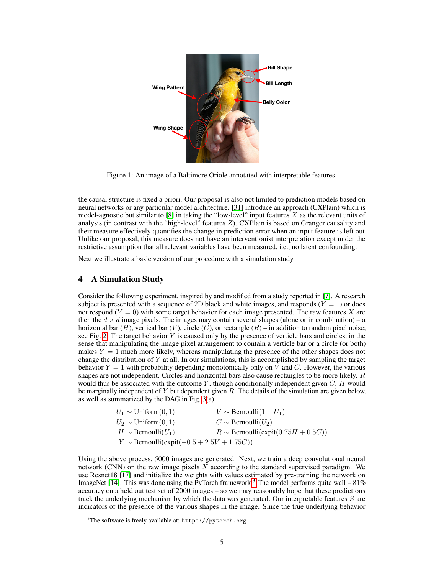

Figure 1: An image of a Baltimore Oriole annotated with interpretable features.

the causal structure is fixed a priori. Our proposal is also not limited to prediction models based on neural networks or any particular model architecture. [\[31\]](#page-9-21) introduce an approach (CXPlain) which is model-agnostic but similar to [\[8\]](#page-8-12) in taking the "low-level" input features  $X$  as the relevant units of analysis (in contrast with the "high-level" features  $Z$ ). CXPlain is based on Granger causality and their measure effectively quantifies the change in prediction error when an input feature is left out. Unlike our proposal, this measure does not have an interventionist interpretation except under the restrictive assumption that all relevant variables have been measured, i.e., no latent confounding.

Next we illustrate a basic version of our procedure with a simulation study.

# 4 A Simulation Study

Consider the following experiment, inspired by and modified from a study reported in [\[7\]](#page-8-13). A research subject is presented with a sequence of 2D black and white images, and responds ( $Y = 1$ ) or does not respond  $(Y = 0)$  with some target behavior for each image presented. The raw features X are then the  $d \times d$  image pixels. The images may contain several shapes (alone or in combination) – a horizontal bar  $(H)$ , vertical bar  $(V)$ , circle  $(C)$ , or rectangle  $(R)$  – in addition to random pixel noise; see Fig. [2.](#page-5-0) The target behavior  $Y$  is caused only by the presence of verticle bars and circles, in the sense that manipulating the image pixel arrangement to contain a verticle bar or a circle (or both) makes  $Y = 1$  much more likely, whereas manipulating the presence of the other shapes does not change the distribution of  $Y$  at all. In our simulations, this is accomplished by sampling the target behavior  $Y = 1$  with probability depending monotonically only on V and C. However, the various shapes are not independent. Circles and horizontal bars also cause rectangles to be more likely.  $R$ would thus be associated with the outcome  $Y$ , though conditionally independent given  $C$ . H would be marginally independent of  $Y$  but dependent given  $R$ . The details of the simulation are given below, as well as summarized by the DAG in Fig. [3\(](#page-5-1)a).

| $U_1 \sim \text{Uniform}(0, 1)$                | $V \sim$ Bernoulli $(1-U_1)$            |
|------------------------------------------------|-----------------------------------------|
| $U_2 \sim \text{Uniform}(0, 1)$                | $C \sim \text{Bernoulli}(U_2)$          |
| $H \sim$ Bernoulli $(U_1)$                     | $R \sim$ Bernoulli(expit(0.75H + 0.5C)) |
| $Y \sim$ Bernoulli(expit(-0.5 + 2.5V + 1.75C)) |                                         |

Using the above process, 5000 images are generated. Next, we train a deep convolutional neural network (CNN) on the raw image pixels  $\overline{X}$  according to the standard supervised paradigm. We use Resnet18 [\[17\]](#page-8-14) and initialize the weights with values estimated by pre-training the network on ImageNet [\[14\]](#page-8-15). This was done using the PyTorch framework.<sup>[3](#page-4-0)</sup> The model performs quite well – 81% accuracy on a held out test set of 2000 images – so we may reasonably hope that these predictions track the underlying mechanism by which the data was generated. Our interpretable features Z are indicators of the presence of the various shapes in the image. Since the true underlying behavior

<span id="page-4-0"></span> $3$ The software is freely available at: https://pytorch.org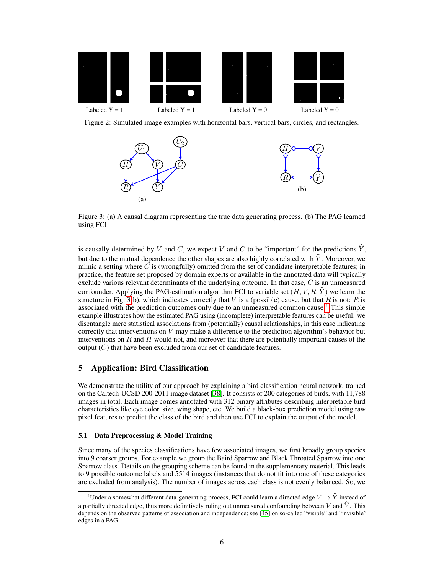<span id="page-5-0"></span>

<span id="page-5-1"></span>Figure 2: Simulated image examples with horizontal bars, vertical bars, circles, and rectangles.



Figure 3: (a) A causal diagram representing the true data generating process. (b) The PAG learned using FCI.

is causally determined by V and C, we expect V and C to be "important" for the predictions  $\dot{Y}$ , but due to the mutual dependence the other shapes are also highly correlated with  $\hat{Y}$ . Moreover, we mimic a setting where  $C$  is (wrongfully) omitted from the set of candidate interpretable features; in practice, the feature set proposed by domain experts or available in the annotated data will typically exclude various relevant determinants of the underlying outcome. In that case,  $C$  is an unmeasured confounder. Applying the PAG-estimation algorithm FCI to variable set  $(H, V, R, \hat{Y})$  we learn the structure in Fig. [3\(](#page-5-1)b), which indicates correctly that V is a (possible) cause, but that R is not: R is associated with the prediction outcomes only due to an unmeasured common cause.[4](#page-5-2) This simple example illustrates how the estimated PAG using (incomplete) interpretable features can be useful: we disentangle mere statistical associations from (potentially) causal relationships, in this case indicating correctly that interventions on  $V$  may make a difference to the prediction algorithm's behavior but interventions on  $R$  and  $H$  would not, and moreover that there are potentially important causes of the output  $(C)$  that have been excluded from our set of candidate features.

# 5 Application: Bird Classification

We demonstrate the utility of our approach by explaining a bird classification neural network, trained on the Caltech-UCSD 200-2011 image dataset [\[38\]](#page-9-22). It consists of 200 categories of birds, with 11,788 images in total. Each image comes annotated with 312 binary attributes describing interpretable bird characteristics like eye color, size, wing shape, etc. We build a black-box prediction model using raw pixel features to predict the class of the bird and then use FCI to explain the output of the model.

### 5.1 Data Preprocessing & Model Training

Since many of the species classifications have few associated images, we first broadly group species into 9 coarser groups. For example we group the Baird Sparrow and Black Throated Sparrow into one Sparrow class. Details on the grouping scheme can be found in the supplementary material. This leads to 9 possible outcome labels and 5514 images (instances that do not fit into one of these categories are excluded from analysis). The number of images across each class is not evenly balanced. So, we

<span id="page-5-2"></span><sup>&</sup>lt;sup>4</sup>Under a somewhat different data-generating process, FCI could learn a directed edge  $V \rightarrow \hat{Y}$  instead of a partially directed edge, thus more definitively ruling out unmeasured confounding between V and  $\hat{Y}$ . This depends on the observed patterns of association and independence; see [\[45\]](#page-10-0) on so-called "visible" and "invisible" edges in a PAG.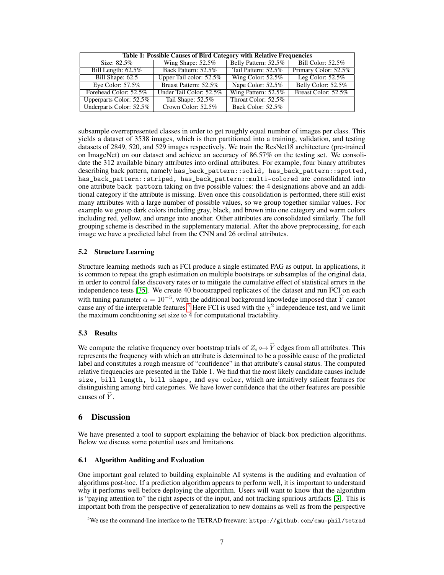| <b>Table 1: Possible Causes of Bird Category with Relative Frequencies</b> |                         |                      |                      |
|----------------------------------------------------------------------------|-------------------------|----------------------|----------------------|
| Size: $82.5\%$                                                             | Wing Shape: $52.5\%$    | Belly Pattern: 52.5% | Bill Color: 52.5%    |
| Bill Length: $62.5\%$                                                      | Back Pattern: 52.5%     | Tail Pattern: 52.5%  | Primary Color: 52.5% |
| Bill Shape: 62.5                                                           | Upper Tail color: 52.5% | Wing Color: $52.5\%$ | Leg Color: $52.5\%$  |
| Eye Color: $57.5\%$                                                        | Breast Pattern: 52.5%   | Nape Color: 52.5%    | Belly Color: 52.5%   |
| Forehead Color: 52.5%                                                      | Under Tail Color: 52.5% | Wing Pattern: 52.5%  | Breast Color: 52.5%  |
| Upperparts Color: 52.5%                                                    | Tail Shape: 52.5%       | Throat Color: 52.5%  |                      |
| Underparts Color: 52.5%                                                    | Crown Color: 52.5%      | Back Color: 52.5%    |                      |

subsample overrepresented classes in order to get roughly equal number of images per class. This yields a dataset of 3538 images, which is then partitioned into a training, validation, and testing datasets of 2849, 520, and 529 images respectively. We train the ResNet18 architecture (pre-trained on ImageNet) on our dataset and achieve an accuracy of 86.57% on the testing set. We consolidate the 312 available binary attributes into ordinal attributes. For example, four binary attributes describing back pattern, namely has\_back\_pattern::solid, has\_back\_pattern::spotted, has\_back\_pattern::striped, has\_back\_pattern::multi-colored are consolidated into one attribute back pattern taking on five possible values: the 4 designations above and an additional category if the attribute is missing. Even once this consolidation is performed, there still exist many attributes with a large number of possible values, so we group together similar values. For example we group dark colors including gray, black, and brown into one category and warm colors including red, yellow, and orange into another. Other attributes are consolidated similarly. The full grouping scheme is described in the supplementary material. After the above preprocessing, for each image we have a predicted label from the CNN and 26 ordinal attributes.

# 5.2 Structure Learning

Structure learning methods such as FCI produce a single estimated PAG as output. In applications, it is common to repeat the graph estimation on multiple bootstraps or subsamples of the original data, in order to control false discovery rates or to mitigate the cumulative effect of statistical errors in the independence tests [\[35\]](#page-9-23). We create 40 bootstrapped replicates of the dataset and run FCI on each with tuning parameter  $\alpha = 10^{-5}$ , with the additional background knowledge imposed that  $\hat{Y}$  cannot cause any of the interpretable features.<sup>[5](#page-6-0)</sup> Here FCI is used with the  $\chi^2$  independence test, and we limit the maximum conditioning set size to 4 for computational tractability.

# 5.3 Results

We compute the relative frequency over bootstrap trials of  $Z_i \rightarrow \hat{Y}$  edges from all attributes. This represents the frequency with which an attribute is determined to be a possible cause of the predicted label and constitutes a rough measure of "confidence" in that attribute's causal status. The computed relative frequencies are presented in the Table 1. We find that the most likely candidate causes include size, bill length, bill shape, and eye color, which are intuitively salient features for distinguishing among bird categories. We have lower confidence that the other features are possible causes of  $\hat{Y}$ .

# 6 Discussion

We have presented a tool to support explaining the behavior of black-box prediction algorithms. Below we discuss some potential uses and limitations.

# 6.1 Algorithm Auditing and Evaluation

One important goal related to building explainable AI systems is the auditing and evaluation of algorithms post-hoc. If a prediction algorithm appears to perform well, it is important to understand why it performs well before deploying the algorithm. Users will want to know that the algorithm is "paying attention to" the right aspects of the input, and not tracking spurious artifacts [\[3\]](#page-8-7). This is important both from the perspective of generalization to new domains as well as from the perspective

<span id="page-6-0"></span> $5$ We use the command-line interface to the TETRAD freeware: https://github.com/cmu-phil/tetrad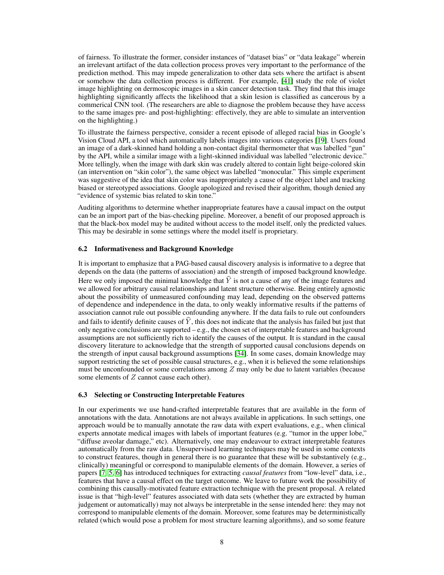of fairness. To illustrate the former, consider instances of "dataset bias" or "data leakage" wherein an irrelevant artifact of the data collection process proves very important to the performance of the prediction method. This may impede generalization to other data sets where the artifact is absent or somehow the data collection process is different. For example, [\[41\]](#page-9-24) study the role of violet image highlighting on dermoscopic images in a skin cancer detection task. They find that this image highlighting significantly affects the likelihood that a skin lesion is classified as cancerous by a commerical CNN tool. (The researchers are able to diagnose the problem because they have access to the same images pre- and post-highlighting: effectively, they are able to simulate an intervention on the highlighting.)

To illustrate the fairness perspective, consider a recent episode of alleged racial bias in Google's Vision Cloud API, a tool which automatically labels images into various categories [\[19\]](#page-9-25). Users found an image of a dark-skinned hand holding a non-contact digital thermometer that was labelled "gun" by the API, while a similar image with a light-skinned individual was labelled "electronic device." More tellingly, when the image with dark skin was crudely altered to contain light beige-colored skin (an intervention on "skin color"), the same object was labelled "monocular." This simple experiment was suggestive of the idea that skin color was inappropriately a cause of the object label and tracking biased or stereotyped associations. Google apologized and revised their algorithm, though denied any "evidence of systemic bias related to skin tone."

Auditing algorithms to determine whether inappropriate features have a causal impact on the output can be an import part of the bias-checking pipeline. Moreover, a benefit of our proposed approach is that the black-box model may be audited without access to the model itself, only the predicted values. This may be desirable in some settings where the model itself is proprietary.

#### 6.2 Informativeness and Background Knowledge

It is important to emphasize that a PAG-based causal discovery analysis is informative to a degree that depends on the data (the patterns of association) and the strength of imposed background knowledge. Here we only imposed the minimal knowledge that  $\hat{Y}$  is not a cause of any of the image features and we allowed for arbitrary causal relationships and latent structure otherwise. Being entirely agnostic about the possibility of unmeasured confounding may lead, depending on the observed patterns of dependence and independence in the data, to only weakly informative results if the patterns of association cannot rule out possible confounding anywhere. If the data fails to rule out confounders and fails to identify definite causes of  $\hat{Y}$ , this does not indicate that the analysis has failed but just that only negative conclusions are supported – e.g., the chosen set of interpretable features and background assumptions are not sufficiently rich to identify the causes of the output. It is standard in the causal discovery literature to acknowledge that the strength of supported causal conclusions depends on the strength of input causal background assumptions [\[34\]](#page-9-10). In some cases, domain knowledge may support restricting the set of possible causal structures, e.g., when it is believed the some relationships must be unconfounded or some correlations among  $Z$  may only be due to latent variables (because some elements of Z cannot cause each other).

#### 6.3 Selecting or Constructing Interpretable Features

In our experiments we use hand-crafted interpretable features that are available in the form of annotations with the data. Annotations are not always available in applications. In such settings, one approach would be to manually annotate the raw data with expert evaluations, e.g., when clinical experts annotate medical images with labels of important features (e.g. "tumor in the upper lobe," "diffuse aveolar damage," etc). Alternatively, one may endeavour to extract interpretable features automatically from the raw data. Unsupervised learning techniques may be used in some contexts to construct features, though in general there is no guarantee that these will be substantively (e.g., clinically) meaningful or correspond to manipulable elements of the domain. However, a series of papers [\[7,](#page-8-13) [5,](#page-8-16) [6\]](#page-8-17) has introduced techniques for extracting *causal features* from "low-level" data, i.e., features that have a causal effect on the target outcome. We leave to future work the possibility of combining this causally-motivated feature extraction technique with the present proposal. A related issue is that "high-level" features associated with data sets (whether they are extracted by human judgement or automatically) may not always be interpretable in the sense intended here: they may not correspond to manipulable elements of the domain. Moreover, some features may be deterministically related (which would pose a problem for most structure learning algorithms), and so some feature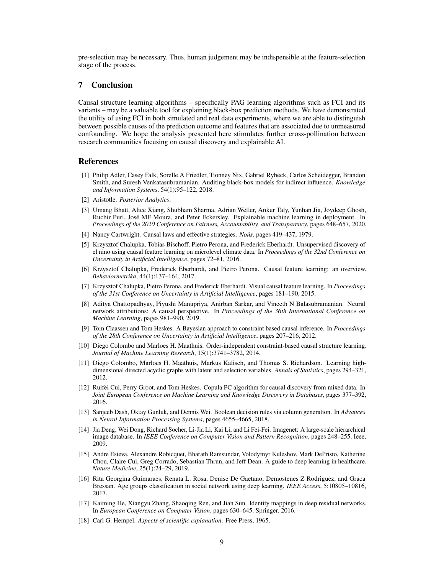pre-selection may be necessary. Thus, human judgement may be indispensible at the feature-selection stage of the process.

# 7 Conclusion

Causal structure learning algorithms – specifically PAG learning algorithms such as FCI and its variants – may be a valuable tool for explaining black-box prediction methods. We have demonstrated the utility of using FCI in both simulated and real data experiments, where we are able to distinguish between possible causes of the prediction outcome and features that are associated due to unmeasured confounding. We hope the analysis presented here stimulates further cross-pollination between research communities focusing on causal discovery and explainable AI.

### References

- <span id="page-8-2"></span>[1] Philip Adler, Casey Falk, Sorelle A Friedler, Tionney Nix, Gabriel Rybeck, Carlos Scheidegger, Brandon Smith, and Suresh Venkatasubramanian. Auditing black-box models for indirect influence. *Knowledge and Information Systems*, 54(1):95–122, 2018.
- <span id="page-8-4"></span>[2] Aristotle. *Posterior Analytics*.
- <span id="page-8-7"></span>[3] Umang Bhatt, Alice Xiang, Shubham Sharma, Adrian Weller, Ankur Taly, Yunhan Jia, Joydeep Ghosh, Ruchir Puri, José MF Moura, and Peter Eckersley. Explainable machine learning in deployment. In *Proceedings of the 2020 Conference on Fairness, Accountability, and Transparency*, pages 648–657, 2020.
- <span id="page-8-5"></span>[4] Nancy Cartwright. Causal laws and effective strategies. *Noûs*, pages 419–437, 1979.
- <span id="page-8-16"></span>[5] Krzysztof Chalupka, Tobias Bischoff, Pietro Perona, and Frederick Eberhardt. Unsupervised discovery of el nino using causal feature learning on microlevel climate data. In *Proceedings of the 32nd Conference on Uncertainty in Artificial Intelligence*, pages 72–81, 2016.
- <span id="page-8-17"></span>[6] Krzysztof Chalupka, Frederick Eberhardt, and Pietro Perona. Causal feature learning: an overview. *Behaviormetrika*, 44(1):137–164, 2017.
- <span id="page-8-13"></span>[7] Krzysztof Chalupka, Pietro Perona, and Frederick Eberhardt. Visual causal feature learning. In *Proceedings of the 31st Conference on Uncertainty in Artificial Intelligence*, pages 181–190, 2015.
- <span id="page-8-12"></span>[8] Aditya Chattopadhyay, Piyushi Manupriya, Anirban Sarkar, and Vineeth N Balasubramanian. Neural network attributions: A causal perspective. In *Proceedings of the 36th International Conference on Machine Learning*, pages 981–990, 2019.
- <span id="page-8-10"></span>[9] Tom Claassen and Tom Heskes. A Bayesian approach to constraint based causal inference. In *Proceedings of the 28th Conference on Uncertainty in Artificial Intelligence*, pages 207–216, 2012.
- <span id="page-8-8"></span>[10] Diego Colombo and Marloes H. Maathuis. Order-independent constraint-based causal structure learning. *Journal of Machine Learning Research*, 15(1):3741–3782, 2014.
- <span id="page-8-11"></span>[11] Diego Colombo, Marloes H. Maathuis, Markus Kalisch, and Thomas S. Richardson. Learning highdimensional directed acyclic graphs with latent and selection variables. *Annals of Statistics*, pages 294–321, 2012.
- <span id="page-8-9"></span>[12] Ruifei Cui, Perry Groot, and Tom Heskes. Copula PC algorithm for causal discovery from mixed data. In *Joint European Conference on Machine Learning and Knowledge Discovery in Databases*, pages 377–392, 2016.
- <span id="page-8-3"></span>[13] Sanjeeb Dash, Oktay Gunluk, and Dennis Wei. Boolean decision rules via column generation. In *Advances in Neural Information Processing Systems*, pages 4655–4665, 2018.
- <span id="page-8-15"></span>[14] Jia Deng, Wei Dong, Richard Socher, Li-Jia Li, Kai Li, and Li Fei-Fei. Imagenet: A large-scale hierarchical image database. In *IEEE Conference on Computer Vision and Pattern Recognition*, pages 248–255. Ieee, 2009.
- <span id="page-8-0"></span>[15] Andre Esteva, Alexandre Robicquet, Bharath Ramsundar, Volodymyr Kuleshov, Mark DePristo, Katherine Chou, Claire Cui, Greg Corrado, Sebastian Thrun, and Jeff Dean. A guide to deep learning in healthcare. *Nature Medicine*, 25(1):24–29, 2019.
- <span id="page-8-1"></span>[16] Rita Georgina Guimaraes, Renata L. Rosa, Denise De Gaetano, Demostenes Z Rodriguez, and Graca Bressan. Age groups classification in social network using deep learning. *IEEE Access*, 5:10805–10816, 2017.
- <span id="page-8-14"></span>[17] Kaiming He, Xiangyu Zhang, Shaoqing Ren, and Jian Sun. Identity mappings in deep residual networks. In *European Conference on Computer Vision*, pages 630–645. Springer, 2016.
- <span id="page-8-6"></span>[18] Carl G. Hempel. *Aspects of scientific explanation*. Free Press, 1965.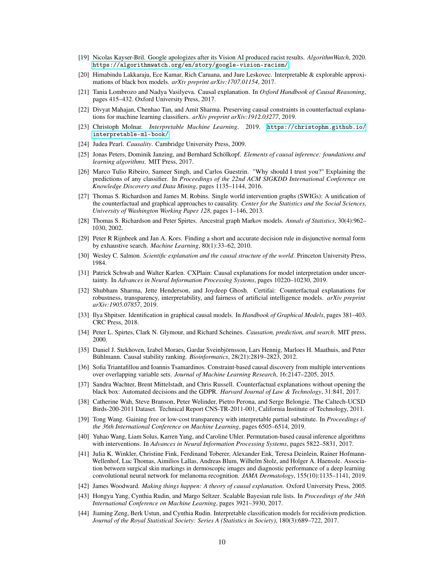- <span id="page-9-25"></span>[19] Nicolas Kayser-Bril. Google apologizes after its Vision AI produced racist results. *AlgorithmWatch*, 2020. <https://algorithmwatch.org/en/story/google-vision-racism/>.
- <span id="page-9-4"></span>[20] Himabindu Lakkaraju, Ece Kamar, Rich Caruana, and Jure Leskovec. Interpretable & explorable approximations of black box models. *arXiv preprint arXiv:1707.01154*, 2017.
- <span id="page-9-9"></span>[21] Tania Lombrozo and Nadya Vasilyeva. Causal explanation. In *Oxford Handbook of Causal Reasoning*, pages 415–432. Oxford University Press, 2017.
- <span id="page-9-18"></span>[22] Divyat Mahajan, Chenhao Tan, and Amit Sharma. Preserving causal constraints in counterfactual explanations for machine learning classifiers. *arXiv preprint arXiv:1912.03277*, 2019.
- <span id="page-9-5"></span>[23] Christoph Molnar. *Interpretable Machine Learning*. 2019. [https://christophm.github.io/](https://christophm.github.io/interpretable-ml-book/) [interpretable-ml-book/](https://christophm.github.io/interpretable-ml-book/).
- <span id="page-9-11"></span>[24] Judea Pearl. *Causality*. Cambridge University Press, 2009.
- <span id="page-9-12"></span>[25] Jonas Peters, Dominik Janzing, and Bernhard Schölkopf. *Elements of causal inference: foundations and learning algorithms*. MIT Press, 2017.
- <span id="page-9-1"></span>[26] Marco Tulio Ribeiro, Sameer Singh, and Carlos Guestrin. "Why should I trust you?" Explaining the predictions of any classifier. In *Proceedings of the 22nd ACM SIGKDD International Conference on Knowledge Discovery and Data Mining*, pages 1135–1144, 2016.
- <span id="page-9-19"></span>[27] Thomas S. Richardson and James M. Robins. Single world intervention graphs (SWIGs): A unification of the counterfactual and graphical approaches to causality. *Center for the Statistics and the Social Sciences, University of Washington Working Paper 128*, pages 1–146, 2013.
- <span id="page-9-20"></span>[28] Thomas S. Richardson and Peter Spirtes. Ancestral graph Markov models. *Annals of Statistics*, 30(4):962– 1030, 2002.
- <span id="page-9-0"></span>[29] Peter R Rijnbeek and Jan A. Kors. Finding a short and accurate decision rule in disjunctive normal form by exhaustive search. *Machine Learning*, 80(1):33–62, 2010.
- <span id="page-9-7"></span>[30] Wesley C. Salmon. *Scientific explanation and the causal structure of the world*. Princeton University Press, 1984.
- <span id="page-9-21"></span>[31] Patrick Schwab and Walter Karlen. CXPlain: Causal explanations for model interpretation under uncertainty. In *Advances in Neural Information Processing Systems*, pages 10220–10230, 2019.
- <span id="page-9-17"></span>[32] Shubham Sharma, Jette Henderson, and Joydeep Ghosh. Certifai: Counterfactual explanations for robustness, transparency, interpretability, and fairness of artificial intelligence models. *arXiv preprint arXiv:1905.07857*, 2019.
- <span id="page-9-13"></span>[33] Ilya Shpitser. Identification in graphical causal models. In *Handbook of Graphical Models*, pages 381–403. CRC Press, 2018.
- <span id="page-9-10"></span>[34] Peter L. Spirtes, Clark N. Glymour, and Richard Scheines. *Causation, prediction, and search*. MIT press, 2000.
- <span id="page-9-23"></span>[35] Daniel J. Stekhoven, Izabel Moraes, Gardar Sveinbjörnsson, Lars Hennig, Marloes H. Maathuis, and Peter Bühlmann. Causal stability ranking. *Bioinformatics*, 28(21):2819–2823, 2012.
- <span id="page-9-14"></span>[36] Sofia Triantafillou and Ioannis Tsamardinos. Constraint-based causal discovery from multiple interventions over overlapping variable sets. *Journal of Machine Learning Research*, 16:2147–2205, 2015.
- <span id="page-9-16"></span>[37] Sandra Wachter, Brent Mittelstadt, and Chris Russell. Counterfactual explanations without opening the black box: Automated decisions and the GDPR. *Harvard Journal of Law & Technology*, 31:841, 2017.
- <span id="page-9-22"></span>[38] Catherine Wah, Steve Branson, Peter Welinder, Pietro Perona, and Serge Belongie. The Caltech-UCSD Birds-200-2011 Dataset. Technical Report CNS-TR-2011-001, California Institute of Technology, 2011.
- <span id="page-9-6"></span>[39] Tong Wang. Gaining free or low-cost transparency with interpretable partial substitute. In *Proceedings of the 36th International Conference on Machine Learning*, pages 6505–6514, 2019.
- <span id="page-9-15"></span>[40] Yuhao Wang, Liam Solus, Karren Yang, and Caroline Uhler. Permutation-based causal inference algorithms with interventions. In *Advances in Neural Information Processing Systems*, pages 5822–5831, 2017.
- <span id="page-9-24"></span>[41] Julia K. Winkler, Christine Fink, Ferdinand Toberer, Alexander Enk, Teresa Deinlein, Rainer Hofmann-Wellenhof, Luc Thomas, Aimilios Lallas, Andreas Blum, Wilhelm Stolz, and Holger A. Haenssle. Association between surgical skin markings in dermoscopic images and diagnostic performance of a deep learning convolutional neural network for melanoma recognition. *JAMA Dermatology*, 155(10):1135–1141, 2019.
- <span id="page-9-8"></span>[42] James Woodward. *Making things happen: A theory of causal explanation*. Oxford University Press, 2005.
- <span id="page-9-2"></span>[43] Hongyu Yang, Cynthia Rudin, and Margo Seltzer. Scalable Bayesian rule lists. In *Proceedings of the 34th International Conference on Machine Learning*, pages 3921–3930, 2017.
- <span id="page-9-3"></span>[44] Jiaming Zeng, Berk Ustun, and Cynthia Rudin. Interpretable classification models for recidivism prediction. *Journal of the Royal Statistical Society: Series A (Statistics in Society)*, 180(3):689–722, 2017.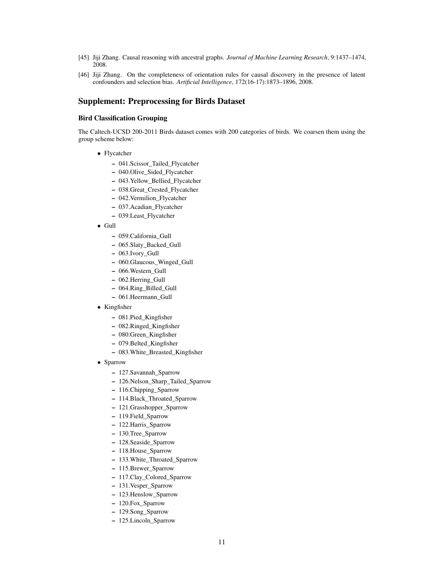- <span id="page-10-0"></span>[45] Jiji Zhang. Causal reasoning with ancestral graphs. *Journal of Machine Learning Research*, 9:1437–1474, 2008.
- <span id="page-10-1"></span>[46] Jiji Zhang. On the completeness of orientation rules for causal discovery in the presence of latent confounders and selection bias. *Artificial Intelligence*, 172(16-17):1873–1896, 2008.

### Supplement: Preprocessing for Birds Dataset

#### Bird Classification Grouping

The Caltech-UCSD 200-2011 Birds dataset comes with 200 categories of birds. We coarsen them using the group scheme below:

- Flycatcher
	- 041.Scissor\_Tailed\_Flycatcher
	- 040.Olive\_Sided\_Flycatcher
	- 043.Yellow\_Bellied\_Flycatcher
	- 038.Great\_Crested\_Flycatcher
	- 042.Vermilion\_Flycatcher
	- 037.Acadian\_Flycatcher
	- 039.Least\_Flycatcher
- Gull
	- 059.California\_Gull
	- 065.Slaty\_Backed\_Gull
	- 063.Ivory\_Gull
	- 060.Glaucous\_Winged\_Gull
	- 066.Western\_Gull
	- 062.Herring\_Gull
	- 064.Ring\_Billed\_Gull
	- 061.Heermann\_Gull
- Kingfisher
	- 081.Pied\_Kingfisher
	- 082.Ringed\_Kingfisher
	- 080.Green\_Kingfisher
	- 079.Belted\_Kingfisher
	- 083.White\_Breasted\_Kingfisher
- Sparrow
	- 127.Savannah\_Sparrow
	- 126.Nelson\_Sharp\_Tailed\_Sparrow
	- 116.Chipping\_Sparrow
	- 114.Black\_Throated\_Sparrow
	- 121.Grasshopper\_Sparrow
	- 119.Field\_Sparrow
	- 122.Harris\_Sparrow
	- 130.Tree\_Sparrow
	- 128.Seaside\_Sparrow
	- 118.House\_Sparrow
	- 133.White\_Throated\_Sparrow
	- 115.Brewer\_Sparrow
	- 117.Clay\_Colored\_Sparrow
	- 131.Vesper\_Sparrow
	- 123.Henslow\_Sparrow
	- 120.Fox\_Sparrow
	- 129.Song\_Sparrow
	- 125.Lincoln\_Sparrow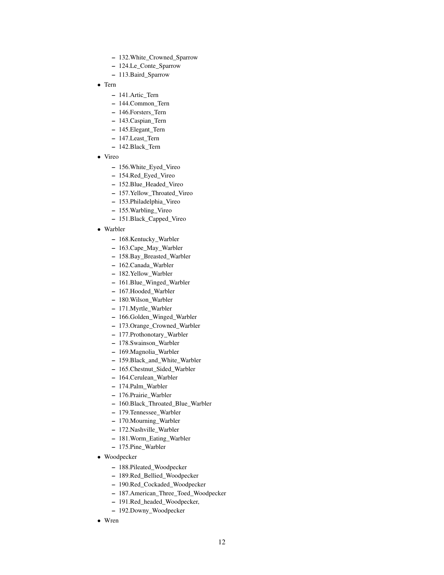- 132.White\_Crowned\_Sparrow
- 124.Le\_Conte\_Sparrow
- 113.Baird\_Sparrow
- Tern
	- 141.Artic\_Tern
	- 144.Common\_Tern
	- 146.Forsters\_Tern
	- 143.Caspian\_Tern
	- 145.Elegant\_Tern
	- 147.Least\_Tern
	- 142.Black\_Tern
- Vireo
	- 156.White\_Eyed\_Vireo
	- 154.Red\_Eyed\_Vireo
	- 152.Blue\_Headed\_Vireo
	- 157.Yellow\_Throated\_Vireo
	- 153.Philadelphia\_Vireo
	- 155.Warbling\_Vireo
	- 151.Black\_Capped\_Vireo
- Warbler
	- 168.Kentucky\_Warbler
	- 163.Cape\_May\_Warbler
	- 158.Bay\_Breasted\_Warbler
	- 162.Canada\_Warbler
	- 182.Yellow\_Warbler
	- 161.Blue\_Winged\_Warbler
	- 167.Hooded\_Warbler
	- 180.Wilson\_Warbler
	- 171.Myrtle\_Warbler
	- 166.Golden\_Winged\_Warbler
	- 173.Orange\_Crowned\_Warbler
	- 177.Prothonotary\_Warbler
	- 178.Swainson\_Warbler
	- 169.Magnolia\_Warbler
	- 159.Black\_and\_White\_Warbler
	- 165.Chestnut\_Sided\_Warbler
	- 164.Cerulean\_Warbler
	- 174.Palm\_Warbler
	- 176.Prairie\_Warbler
	- 160.Black\_Throated\_Blue\_Warbler
	- 179.Tennessee\_Warbler
	- 170.Mourning\_Warbler
	- 172.Nashville\_Warbler
	- 181.Worm\_Eating\_Warbler
	- 175.Pine\_Warbler
- Woodpecker
	- 188.Pileated\_Woodpecker
	- 189.Red\_Bellied\_Woodpecker
	- 190.Red\_Cockaded\_Woodpecker
	- 187.American\_Three\_Toed\_Woodpecker
	- 191.Red\_headed\_Woodpecker,
	- 192.Downy\_Woodpecker
- Wren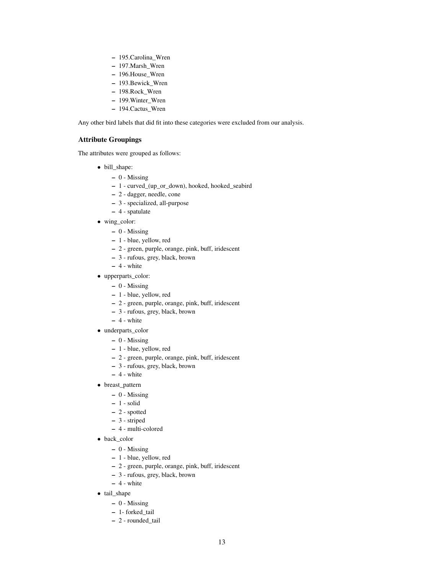- 195.Carolina\_Wren
- 197.Marsh\_Wren
- 196.House\_Wren
- 193.Bewick\_Wren
- 198.Rock\_Wren
- 199.Winter\_Wren
- 194.Cactus\_Wren

Any other bird labels that did fit into these categories were excluded from our analysis.

### Attribute Groupings

The attributes were grouped as follows:

- bill\_shape:
	- 0 Missing
	- 1 curved\_(up\_or\_down), hooked, hooked\_seabird
	- 2 dagger, needle, cone
	- 3 specialized, all-purpose
	- 4 spatulate
- wing\_color:
	- $0$  Missing
	- 1 blue, yellow, red
	- 2 green, purple, orange, pink, buff, iridescent
	- 3 rufous, grey, black, brown
	- $-4$  white
- upperparts\_color:
	- 0 Missing
	- 1 blue, yellow, red
	- 2 green, purple, orange, pink, buff, iridescent
	- 3 rufous, grey, black, brown
	- $-4$  white
- underparts\_color
	- $0$  Missing
	- 1 blue, yellow, red
	- 2 green, purple, orange, pink, buff, iridescent
	- 3 rufous, grey, black, brown
	- $-4$  white
- breast\_pattern
	- $0$  Missing
	- $-1$  solid
	- 2 spotted
	- 3 striped
	- 4 multi-colored
- back\_color
	- 0 Missing
	- 1 blue, yellow, red
	- 2 green, purple, orange, pink, buff, iridescent
	- 3 rufous, grey, black, brown
	- 4 white
- tail\_shape
	- $0$  Missing
	- 1- forked\_tail
	- 2 rounded\_tail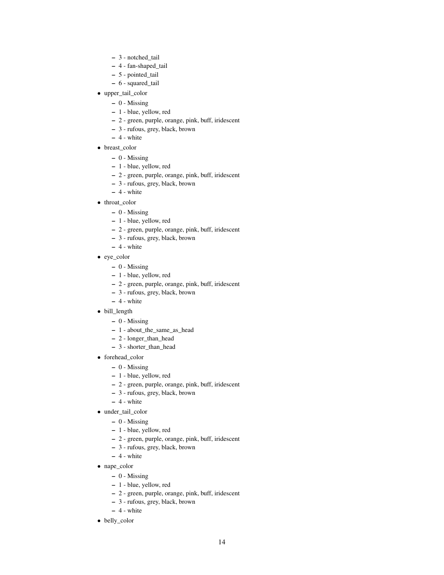- 3 notched\_tail
- 4 fan-shaped\_tail
- 5 pointed\_tail
- 6 squared\_tail
- upper\_tail\_color
	- 0 Missing
	- 1 blue, yellow, red
	- 2 green, purple, orange, pink, buff, iridescent
	- 3 rufous, grey, black, brown
	- $-4$  white
- breast\_color
	- 0 Missing
	- 1 blue, yellow, red
	- 2 green, purple, orange, pink, buff, iridescent
	- 3 rufous, grey, black, brown
	- $-4$  white
- throat\_color
	- 0 Missing
	- 1 blue, yellow, red
	- 2 green, purple, orange, pink, buff, iridescent
	- 3 rufous, grey, black, brown
	- $-4$  white
- eye color
	- 0 Missing
	- 1 blue, yellow, red
	- 2 green, purple, orange, pink, buff, iridescent
	- 3 rufous, grey, black, brown
	- $-4$  white
- bill\_length
	- 0 Missing
	- 1 about\_the\_same\_as\_head
	- 2 longer\_than\_head
	- 3 shorter\_than\_head
- forehead\_color
	- 0 Missing
	- 1 blue, yellow, red
	- 2 green, purple, orange, pink, buff, iridescent
	- 3 rufous, grey, black, brown
	- $-4$  white
- under\_tail\_color
	- $0$  Missing
	- 1 blue, yellow, red
	- 2 green, purple, orange, pink, buff, iridescent
	- 3 rufous, grey, black, brown
	- $-4$  white
- nape\_color
	- 0 Missing
	- 1 blue, yellow, red
	- 2 green, purple, orange, pink, buff, iridescent
	- 3 rufous, grey, black, brown
	- $-4$  white
- belly\_color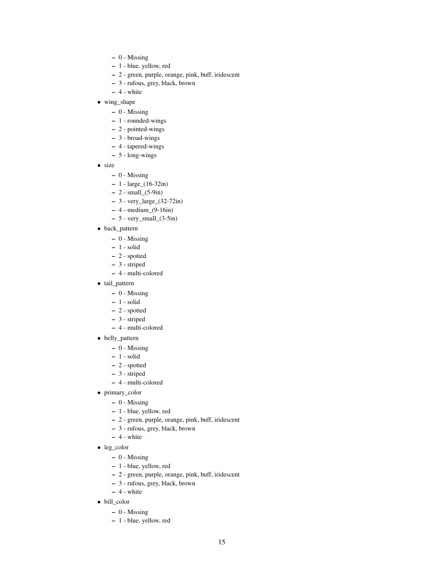- $0$  Missing
- 1 blue, yellow, red
- 2 green, purple, orange, pink, buff, iridescent
- 3 rufous, grey, black, brown
- $-4$  white
- wing\_shape
	- 0 Missing
	- 1 rounded-wings
	- 2 pointed-wings
	- 3 broad-wings
	- 4 tapered-wings
	- 5 long-wings
- size
	- 0 Missing
	- 1 large\_(16-32in)
	- $2$  small\_(5-9in)
	- 3 very\_large\_(32-72in)
	- $-4$  medium\_ $(9-16in)$
	- $-5$  very\_small\_ $(3-5in)$
- back\_pattern
	- 0 Missing
	- 1 solid
	- 2 spotted
	- 3 striped
	- 4 multi-colored
- tail\_pattern
	- 0 Missing
	- 1 solid
	- 2 spotted
	- 3 striped
	- 4 multi-colored
- belly\_pattern
	- 0 Missing
	- 1 solid
	- 2 spotted
	- 3 striped
	- 4 multi-colored
- primary\_color
	- 0 Missing
	- 1 blue, yellow, red
	- 2 green, purple, orange, pink, buff, iridescent
	- 3 rufous, grey, black, brown
	- $-4$  white
- leg\_color
	- 0 Missing
	- 1 blue, yellow, red
	- 2 green, purple, orange, pink, buff, iridescent
	- 3 rufous, grey, black, brown
	- $-4$  white
- bill\_color
	- $0$  Missing
	- 1 blue, yellow, red